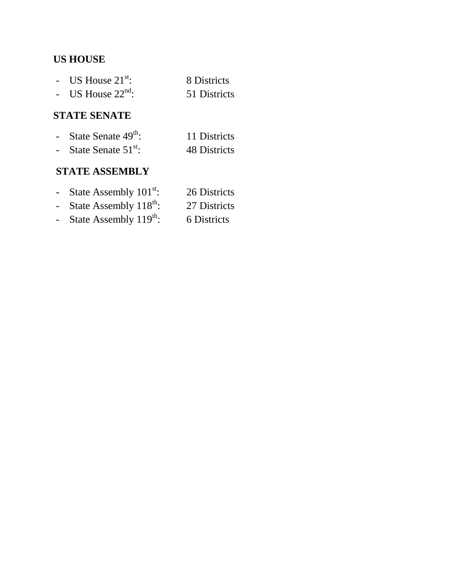## **US HOUSE**

| - US House $21^{st}$ : | 8 Districts  |
|------------------------|--------------|
| - US House $22nd$ :    | 51 Districts |

#### **STATE SENATE**

| $\sim$ 100 $\mu$ | State Senate 49 <sup>th</sup> : | 11 Districts |
|------------------|---------------------------------|--------------|
|                  | - State Senate $51^{st}$ :      | 48 Districts |

### **STATE ASSEMBLY**

| $\overline{\phantom{0}}$ |  | State Assembly 101 <sup>st</sup> : | 26 Districts |
|--------------------------|--|------------------------------------|--------------|
|                          |  | . <del>.</del>                     |              |

- State Assembly  $118<sup>th</sup>$ : 27 Districts
- State Assembly  $119^{th}$ : 6 Districts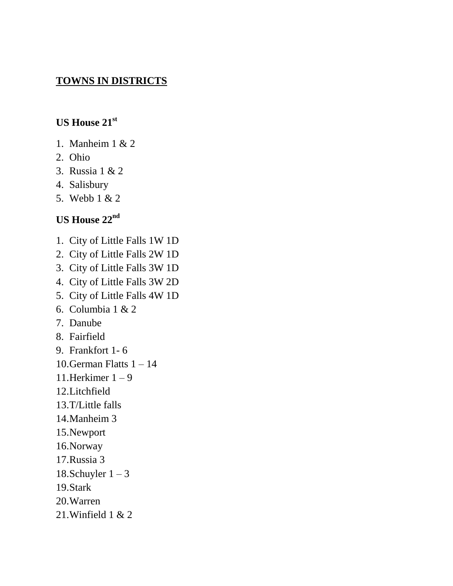### **TOWNS IN DISTRICTS**

## **US House 21st**

- 1. Manheim 1 & 2
- 2. Ohio
- 3. Russia 1 & 2
- 4. Salisbury
- 5. Webb 1 & 2

## **US House 22nd**

- 1. City of Little Falls 1W 1D
- 2. City of Little Falls 2W 1D
- 3. City of Little Falls 3W 1D
- 4. City of Little Falls 3W 2D
- 5. City of Little Falls 4W 1D
- 6. Columbia 1 & 2
- 7. Danube
- 8. Fairfield
- 9. Frankfort 1- 6
- 10.German Flatts  $1 14$
- 11.Herkimer  $1 9$
- 12.Litchfield
- 13.T/Little falls
- 14.Manheim 3
- 15.Newport
- 16.Norway
- 17.Russia 3
- 18.Schuyler  $1 3$
- 19.Stark
- 20.Warren
- 21.Winfield 1 & 2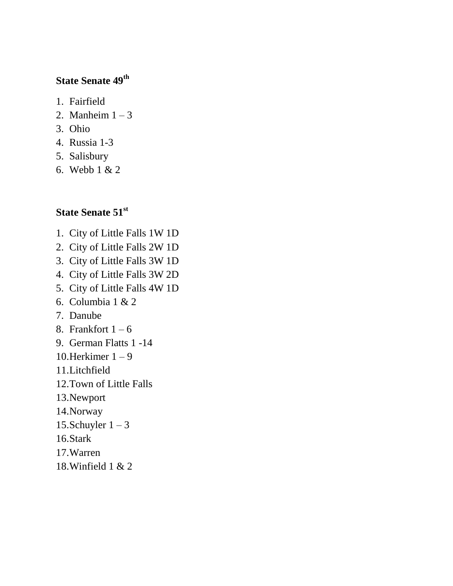# **State Senate 49th**

- 1. Fairfield
- 2. Manheim  $1 3$
- 3. Ohio
- 4. Russia 1-3
- 5. Salisbury
- 6. Webb 1 & 2

## **State Senate 51st**

- 1. City of Little Falls 1W 1D
- 2. City of Little Falls 2W 1D
- 3. City of Little Falls 3W 1D
- 4. City of Little Falls 3W 2D
- 5. City of Little Falls 4W 1D
- 6. Columbia 1 & 2
- 7. Danube
- 8. Frankfort  $1 6$
- 9. German Flatts 1 -14
- 10.Herkimer  $1 9$
- 11.Litchfield
- 12.Town of Little Falls
- 13.Newport
- 14.Norway
- 15.Schuyler  $1 3$
- 16.Stark
- 17.Warren
- 18.Winfield 1 & 2